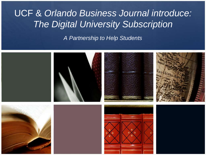### UCF & *Orlando Business Journal introduce: The Digital University Subscription*

*A Partnership to Help Students*

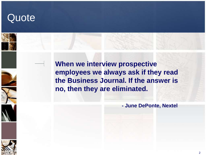### **Quote**

**When we interview prospective employees we always ask if they read the Business Journal. If the answer is no, then they are eliminated.**

**- June DePonte, Nextel**

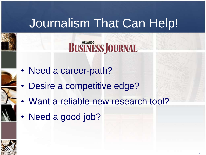# Journalism That Can Help!



- Need a career-path?
- Desire a competitive edge?
- Want a reliable new research tool?
- Need a good job?

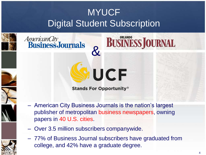### MYUCF Digital Student Subscription

**BUSINESS JOURNAL** 

&

*AmericanCity*<br>**BusinessJournals** 







– American City Business Journals is the nation's largest publisher of metropolitan business newspapers, owning papers in 40 U.S. cities.

**Stands For Opportunity®** 

**UCF** 

- Over 3.5 million subscribers companywide.
- 77% of Business Journal subscribers have graduated from college, and 42% have a graduate degree.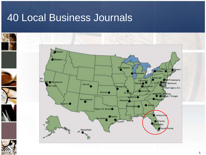### 40 Local Business Journals

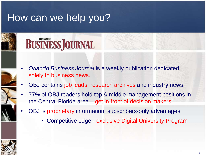### How can we help you?





- *Orlando Business Journal* is a weekly publication dedicated solely to business news.
- OBJ contains job leads, research archives and industry news.
- 77% of OBJ readers hold top & middle management positions in the Central Florida area – get in front of decision makers!
- OBJ is proprietary information: subscribers-only advantages
	- Competitive edge exclusive Digital University Program

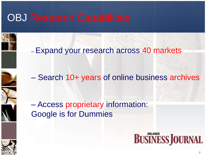### **OBJ Research Capabilities**



– Expand your research across 40 markets

– Search 10+ years of online business archives

– Access proprietary information: Google is for Dummies



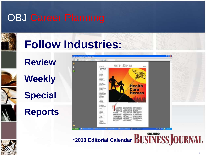### OBJ Career Planning



# **Follow Industries:**

### **Review**

**Weekly**

**Special** 

### **Reports**



**\*2010 Editorial Calendar**

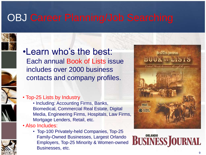### OBJ Career Planning/Job Searching





### •Learn who's the best: Each annual Book of Lists issue includes over 2000 business contacts and company profiles.

### • Top-25 Lists by Industry

- Including: Accounting Firms, Banks, Biomedical, Commercial Real Estate, Digital Media, Engineering Firms, Hospitals, Law Firms, Mortgage Lenders, Retail, etc.
- Also Includes:
	- Top-100 Privately-held Companies, Top-25 Family-Owned Businesses, Largest Orlando Employers, Top-25 Minority & Women-owned Businesses, etc.





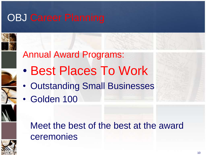### OBJ Career Planning





- Best Places To Work
- Outstanding Small Businesses
- Golden 100

### Meet the best of the best at the award ceremonies

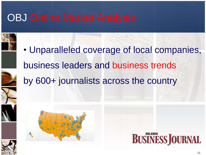### **OBJ Online Market Analysis**









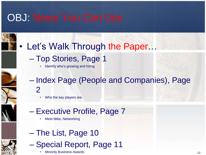### OBJ: News You Can Use



- Top Stories, Page 1
	- Identify who's growing and hiring
- Index Page (People and Companies), Page 2
	- Who the key players are
- Executive Profile, Page 7
	- Meet Mike, Networking
- The List, Page 10 – Special Report, Page 11
	- Minority Business Awards **12**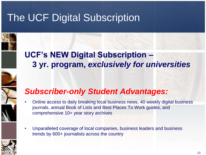### The UCF Digital Subscription



### **UCF's NEW Digital Subscription – 3 yr. program,** *exclusively for universities*

### *Subscriber-only Student Advantages:*

- Online access to daily breaking local business news, 40 weekly digital business journals, annual Book of Lists and Best Places To Work guides, and comprehensive 10+ year story archives
- Unparalleled coverage of local companies, business leaders and business trends by 600+ journalists across the country

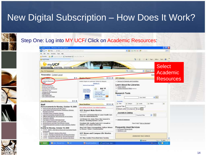







|  |  | Step One: Log into MY UCF/ Click on Academic Resources: |  |
|--|--|---------------------------------------------------------|--|

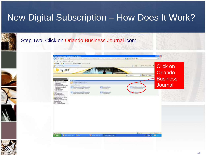Step Two: Click on Orlando Business Journal icon:









### 15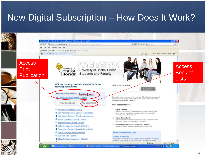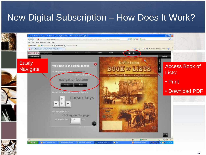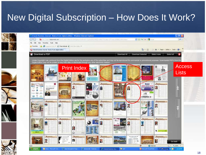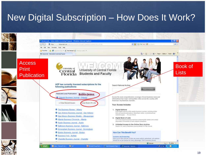

19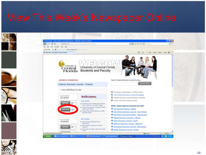

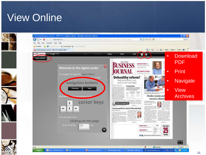### View Online

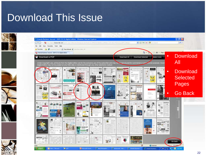### Download This Issue

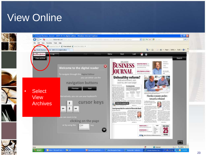### View Online

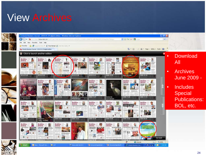### View Archives

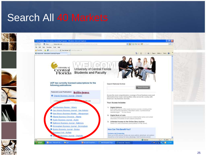### Search All 40 Markets

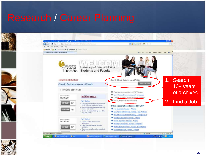### Research / Career Planning



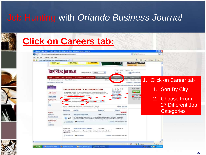### Job Hunting with *Orlando Business Journal*

G

No. Litt.









### **Click on Careers tab:**

C Orlando Online Jobs - View Orlands Daline & Internet Jobs - Windows Internet Explores



1. Click on Career tab

 $-18$ 

#100% -

 $|p|$ 

-14 X | IAN | INT

- 1. Sort By City
- 2. Choose From 27 Different Job **Categories**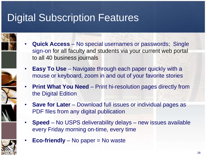### Digital Subscription Features

- 
- **Quick Access** No special usernames or passwords; Single sign-on for all faculty and students via your current web portal to all 40 business journals
- **Easy To Use** Navigate through each paper quickly with a mouse or keyboard, zoom in and out of your favorite stories
	- **Print What You Need** Print hi-resolution pages directly from the Digital Edition
- **Save for Later** Download full issues or individual pages as PDF files from any digital publication
- **Speed** No USPS deliverability delays new issues available every Friday morning on-time, every time



• **Eco-friendly** – No paper = No waste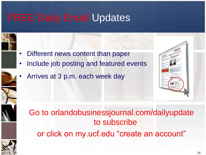### FREE Daily Email Updates



- Different news content than paper
- Include job posting and featured events
- Arrives at 3 p.m. each week day







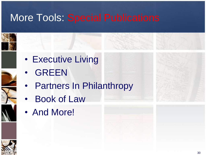### More Tools: Special Publications

Partners In Philanthropy







**GREEN** 

• Executive Living





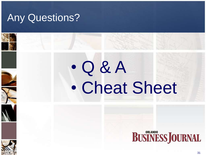### Any Questions?

# • Q & A • Cheat Sheet